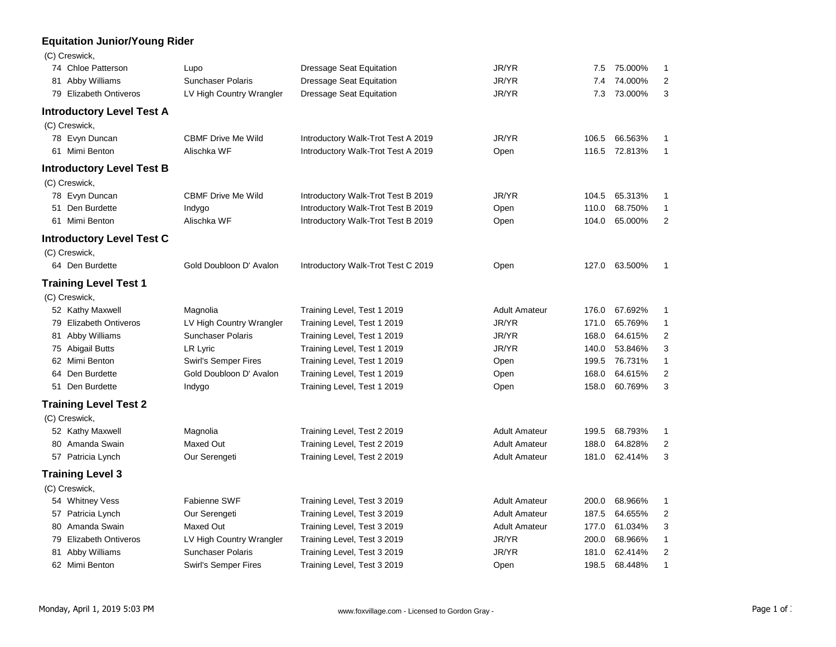## **Equitation Junior/Young Rider**

|  | (C) Creswick, |  |
|--|---------------|--|
|  |               |  |

|    | 74 Chloe Patterson                                 | Lupo                        | <b>Dressage Seat Equitation</b>    | JR/YR                | 7.5   | 75.000% | 1              |
|----|----------------------------------------------------|-----------------------------|------------------------------------|----------------------|-------|---------|----------------|
|    | 81 Abby Williams                                   | <b>Sunchaser Polaris</b>    | <b>Dressage Seat Equitation</b>    | JR/YR                | 7.4   | 74.000% | 2              |
|    | 79 Elizabeth Ontiveros<br>LV High Country Wrangler |                             | Dressage Seat Equitation           | JR/YR                | 7.3   | 73.000% | 3              |
|    | <b>Introductory Level Test A</b>                   |                             |                                    |                      |       |         |                |
|    | (C) Creswick,                                      |                             |                                    |                      |       |         |                |
|    | 78 Evyn Duncan                                     | <b>CBMF Drive Me Wild</b>   | Introductory Walk-Trot Test A 2019 | JR/YR                | 106.5 | 66.563% | 1              |
|    | 61 Mimi Benton                                     | Alischka WF                 | Introductory Walk-Trot Test A 2019 | Open                 | 116.5 | 72.813% | 1              |
|    | <b>Introductory Level Test B</b>                   |                             |                                    |                      |       |         |                |
|    | (C) Creswick,                                      |                             |                                    |                      |       |         |                |
|    | 78 Evyn Duncan                                     | <b>CBMF Drive Me Wild</b>   | Introductory Walk-Trot Test B 2019 | JR/YR                | 104.5 | 65.313% | 1              |
|    | 51 Den Burdette                                    | Indygo                      | Introductory Walk-Trot Test B 2019 | Open                 | 110.0 | 68.750% | 1              |
|    | 61 Mimi Benton                                     | Alischka WF                 | Introductory Walk-Trot Test B 2019 | Open                 | 104.0 | 65.000% | 2              |
|    | <b>Introductory Level Test C</b>                   |                             |                                    |                      |       |         |                |
|    | (C) Creswick,                                      |                             |                                    |                      |       |         |                |
|    | 64 Den Burdette                                    | Gold Doubloon D' Avalon     | Introductory Walk-Trot Test C 2019 | Open                 | 127.0 | 63.500% | 1              |
|    | <b>Training Level Test 1</b>                       |                             |                                    |                      |       |         |                |
|    | (C) Creswick,                                      |                             |                                    |                      |       |         |                |
|    | 52 Kathy Maxwell                                   | Magnolia                    | Training Level, Test 1 2019        | <b>Adult Amateur</b> | 176.0 | 67.692% | 1              |
|    | 79 Elizabeth Ontiveros                             | LV High Country Wrangler    | Training Level, Test 1 2019        | JR/YR                | 171.0 | 65.769% | 1              |
|    | 81 Abby Williams                                   | <b>Sunchaser Polaris</b>    | Training Level, Test 1 2019        | JR/YR                | 168.0 | 64.615% | 2              |
|    | 75 Abigail Butts                                   | LR Lyric                    | Training Level, Test 1 2019        | JR/YR                | 140.0 | 53.846% | 3              |
|    | 62 Mimi Benton                                     | Swirl's Semper Fires        | Training Level, Test 1 2019        | Open                 | 199.5 | 76.731% | 1              |
| 64 | Den Burdette                                       | Gold Doubloon D' Avalon     | Training Level, Test 1 2019        | Open                 | 168.0 | 64.615% | $\overline{2}$ |
| 51 | Den Burdette                                       | Indygo                      | Training Level, Test 1 2019        | Open                 | 158.0 | 60.769% | 3              |
|    | <b>Training Level Test 2</b>                       |                             |                                    |                      |       |         |                |
|    | (C) Creswick,                                      |                             |                                    |                      |       |         |                |
|    | 52 Kathy Maxwell                                   | Magnolia                    | Training Level, Test 2 2019        | <b>Adult Amateur</b> | 199.5 | 68.793% | 1              |
|    | 80 Amanda Swain                                    | Maxed Out                   | Training Level, Test 2 2019        | <b>Adult Amateur</b> | 188.0 | 64.828% | 2              |
|    | 57 Patricia Lynch                                  | Our Serengeti               | Training Level, Test 2 2019        | <b>Adult Amateur</b> | 181.0 | 62.414% | 3              |
|    | <b>Training Level 3</b>                            |                             |                                    |                      |       |         |                |
|    | (C) Creswick,                                      |                             |                                    |                      |       |         |                |
|    | 54 Whitney Vess                                    | Fabienne SWF                | Training Level, Test 3 2019        | <b>Adult Amateur</b> | 200.0 | 68.966% | $\mathbf{1}$   |
|    | 57 Patricia Lynch                                  | Our Serengeti               | Training Level, Test 3 2019        | <b>Adult Amateur</b> | 187.5 | 64.655% | 2              |
|    | 80 Amanda Swain                                    | Maxed Out                   | Training Level, Test 3 2019        | <b>Adult Amateur</b> | 177.0 | 61.034% | 3              |
|    | 79 Elizabeth Ontiveros                             | LV High Country Wrangler    | Training Level, Test 3 2019        | JR/YR                | 200.0 | 68.966% | 1              |
| 81 | Abby Williams                                      | <b>Sunchaser Polaris</b>    | Training Level, Test 3 2019        | JR/YR                | 181.0 | 62.414% | 2              |
|    | 62 Mimi Benton                                     | <b>Swirl's Semper Fires</b> | Training Level, Test 3 2019        | Open                 | 198.5 | 68.448% | 1              |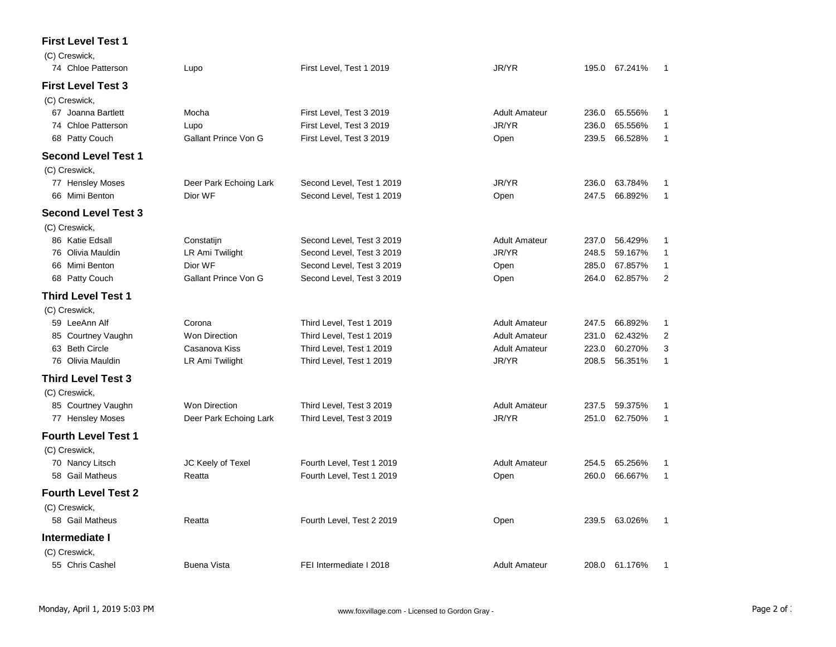## **First Level Test 1**

| (C) Creswick,<br>74 Chloe Patterson |                             |                           | JR/YR                |       | 195.0 67.241% | 1              |
|-------------------------------------|-----------------------------|---------------------------|----------------------|-------|---------------|----------------|
|                                     | Lupo                        | First Level, Test 1 2019  |                      |       |               |                |
| <b>First Level Test 3</b>           |                             |                           |                      |       |               |                |
| (C) Creswick,                       |                             |                           |                      |       |               |                |
| 67 Joanna Bartlett                  | Mocha                       | First Level, Test 3 2019  | <b>Adult Amateur</b> | 236.0 | 65.556%       | 1              |
| 74 Chloe Patterson                  | Lupo                        | First Level, Test 3 2019  | JR/YR                | 236.0 | 65.556%       | 1              |
| 68 Patty Couch                      | Gallant Prince Von G        | First Level, Test 3 2019  | Open                 | 239.5 | 66.528%       | 1              |
| <b>Second Level Test 1</b>          |                             |                           |                      |       |               |                |
| (C) Creswick,                       |                             |                           |                      |       |               |                |
| 77 Hensley Moses                    | Deer Park Echoing Lark      | Second Level, Test 1 2019 | JR/YR                | 236.0 | 63.784%       | 1              |
| 66 Mimi Benton                      | Dior WF                     | Second Level, Test 1 2019 | Open                 | 247.5 | 66.892%       | 1              |
| <b>Second Level Test 3</b>          |                             |                           |                      |       |               |                |
| (C) Creswick,                       |                             |                           |                      |       |               |                |
| 86 Katie Edsall                     | Constatijn                  | Second Level, Test 3 2019 | <b>Adult Amateur</b> | 237.0 | 56.429%       | 1              |
| 76 Olivia Mauldin                   | LR Ami Twilight             | Second Level, Test 3 2019 | JR/YR                | 248.5 | 59.167%       | 1              |
| 66 Mimi Benton                      | Dior WF                     | Second Level, Test 3 2019 | Open                 | 285.0 | 67.857%       | 1              |
| 68 Patty Couch                      | <b>Gallant Prince Von G</b> | Second Level, Test 3 2019 | Open                 | 264.0 | 62.857%       | $\overline{2}$ |
| <b>Third Level Test 1</b>           |                             |                           |                      |       |               |                |
| (C) Creswick,                       |                             |                           |                      |       |               |                |
| 59 LeeAnn Alf                       | Corona                      | Third Level, Test 1 2019  | <b>Adult Amateur</b> | 247.5 | 66.892%       | 1              |
| 85 Courtney Vaughn                  | <b>Won Direction</b>        | Third Level, Test 1 2019  | <b>Adult Amateur</b> | 231.0 | 62.432%       | 2              |
| 63 Beth Circle                      | Casanova Kiss               | Third Level, Test 1 2019  | <b>Adult Amateur</b> | 223.0 | 60.270%       | 3              |
| 76 Olivia Mauldin                   | LR Ami Twilight             | Third Level, Test 1 2019  | JR/YR                | 208.5 | 56.351%       | $\mathbf{1}$   |
| <b>Third Level Test 3</b>           |                             |                           |                      |       |               |                |
| (C) Creswick,                       |                             |                           |                      |       |               |                |
| 85 Courtney Vaughn                  | <b>Won Direction</b>        | Third Level, Test 3 2019  | <b>Adult Amateur</b> | 237.5 | 59.375%       | 1              |
| 77 Hensley Moses                    | Deer Park Echoing Lark      | Third Level, Test 3 2019  | JR/YR                | 251.0 | 62.750%       | 1              |
| <b>Fourth Level Test 1</b>          |                             |                           |                      |       |               |                |
| (C) Creswick,                       |                             |                           |                      |       |               |                |
| 70 Nancy Litsch                     | JC Keely of Texel           | Fourth Level, Test 1 2019 | <b>Adult Amateur</b> | 254.5 | 65.256%       | 1              |
| 58 Gail Matheus                     | Reatta                      | Fourth Level, Test 1 2019 | Open                 | 260.0 | 66.667%       | $\mathbf{1}$   |
| <b>Fourth Level Test 2</b>          |                             |                           |                      |       |               |                |
| (C) Creswick,                       |                             |                           |                      |       |               |                |
| 58 Gail Matheus                     | Reatta                      | Fourth Level, Test 2 2019 | Open                 | 239.5 | 63.026%       | 1              |
| Intermediate I                      |                             |                           |                      |       |               |                |
| (C) Creswick,                       |                             |                           |                      |       |               |                |
| 55 Chris Cashel                     | <b>Buena Vista</b>          | FEI Intermediate I 2018   | <b>Adult Amateur</b> |       | 208.0 61.176% | 1              |
|                                     |                             |                           |                      |       |               |                |